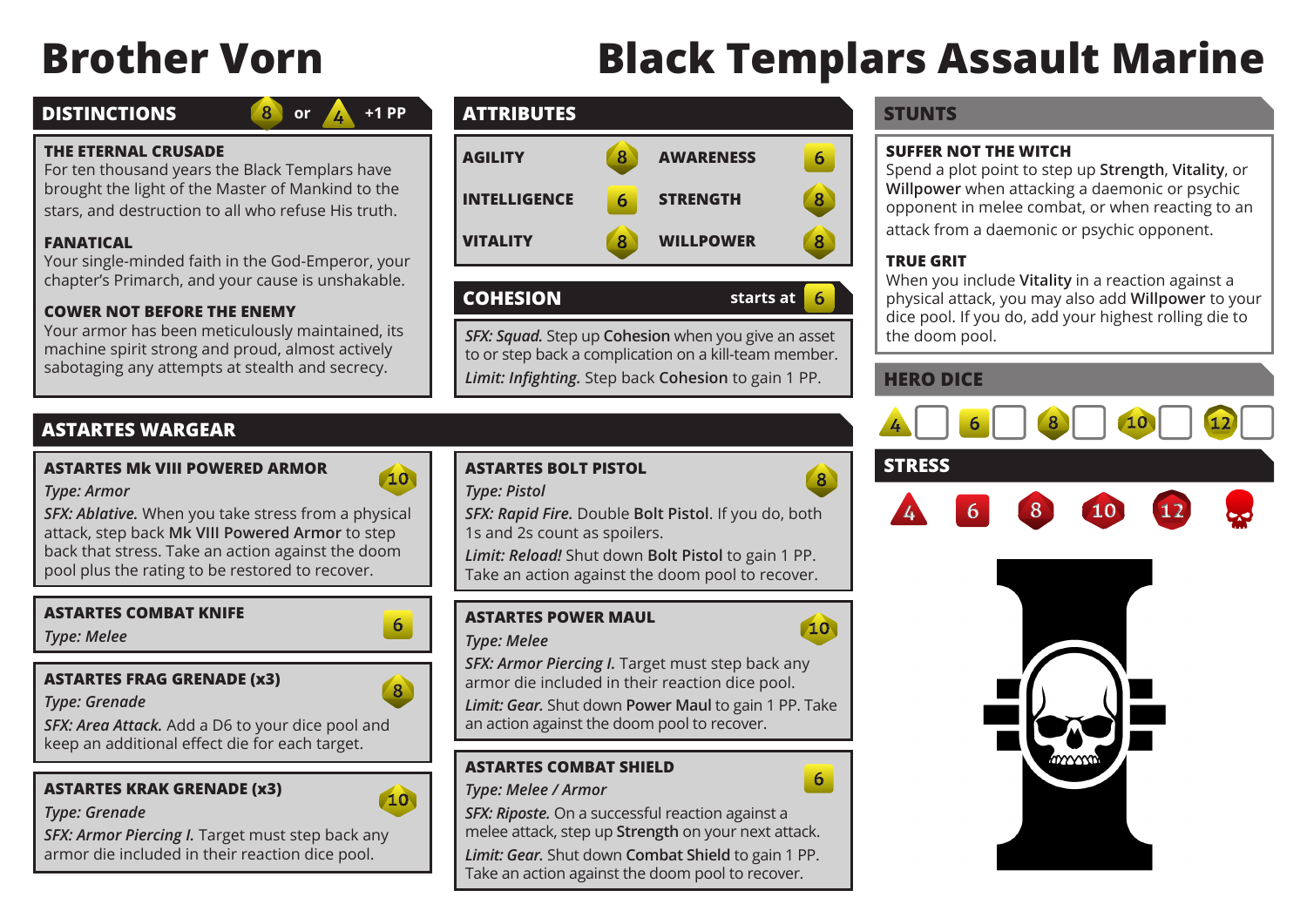# **Brother Vorn Black Templars Assault Marine**

## **DISTINCTIONS**

```
or
+1 PP
```
#### **THE ETERNAL CRUSADE**

For ten thousand years the Black Templars have brought the light of the Master of Mankind to the stars, and destruction to all who refuse His truth.

 $\mathbf{8}$ 

#### **FANATICAL**

Your single-minded faith in the God-Emperor, your chapter's Primarch, and your cause is unshakable.

#### **COWER NOT BEFORE THE ENEMY**

Your armor has been meticulously maintained, its machine spirit strong and proud, almost actively sabotaging any attempts at stealth and secrecy.

# **ATTRIBUTES STUNTS**



#### **COHESION starts at**

*SFX: Squad.* Step up **Cohesion** when you give an asset to or step back a complication on a kill-team member. *Limit: Infighting.* Step back **Cohesion** to gain 1 PP.

# **ASTARTES WARGEAR**

#### **ASTARTES Mk VIII POWERED ARMOR**



*SFX: Ablative.* When you take stress from a physical attack, step back **Mk VIII Powered Armor** to step back that stress. Take an action against the doom pool plus the rating to be restored to recover.

#### **ASTARTES COMBAT KNIFE**

*Type: Melee*

*Type: Armor*

#### **ASTARTES FRAG GRENADE (x3)**

*Type: Grenade*

*SFX: Area Attack.* Add a D6 to your dice pool and keep an additional effect die for each target.

#### **ASTARTES KRAK GRENADE (x3)**



6

 $\sqrt{8}$ 

#### *Type: Grenade*

*SFX: Armor Piercing I.* Target must step back any armor die included in their reaction dice pool.

#### **ASTARTES BOLT PISTOL**

#### *Type: Pistol*

*SFX: Rapid Fire.* Double **Bolt Pistol**. If you do, both 1s and 2s count as spoilers.

*Limit: Reload!* Shut down **Bolt Pistol** to gain 1 PP. Take an action against the doom pool to recover.

## **ASTARTES POWER MAUL**

#### *Type: Melee*

*SFX: Armor Piercing I.* Target must step back any armor die included in their reaction dice pool.

*Limit: Gear.* Shut down **Power Maul** to gain 1 PP. Take an action against the doom pool to recover.

## **ASTARTES COMBAT SHIELD**

#### *Type: Melee / Armor*

*SFX: Riposte.* On a successful reaction against a melee attack, step up **Strength** on your next attack.

*Limit: Gear.* Shut down **Combat Shield** to gain 1 PP. Take an action against the doom pool to recover.

#### **SUFFER NOT THE WITCH**

Spend a plot point to step up **Strength**, **Vitality**, or **Willpower** when attacking a daemonic or psychic opponent in melee combat, or when reacting to an attack from a daemonic or psychic opponent.

#### **TRUE GRIT**

6

 $\overline{8}$ 

10

6

When you include **Vitality** in a reaction against a physical attack, you may also add **Willpower** to your dice pool. If you do, add your highest rolling die to the doom pool.

# **HERO DICE**



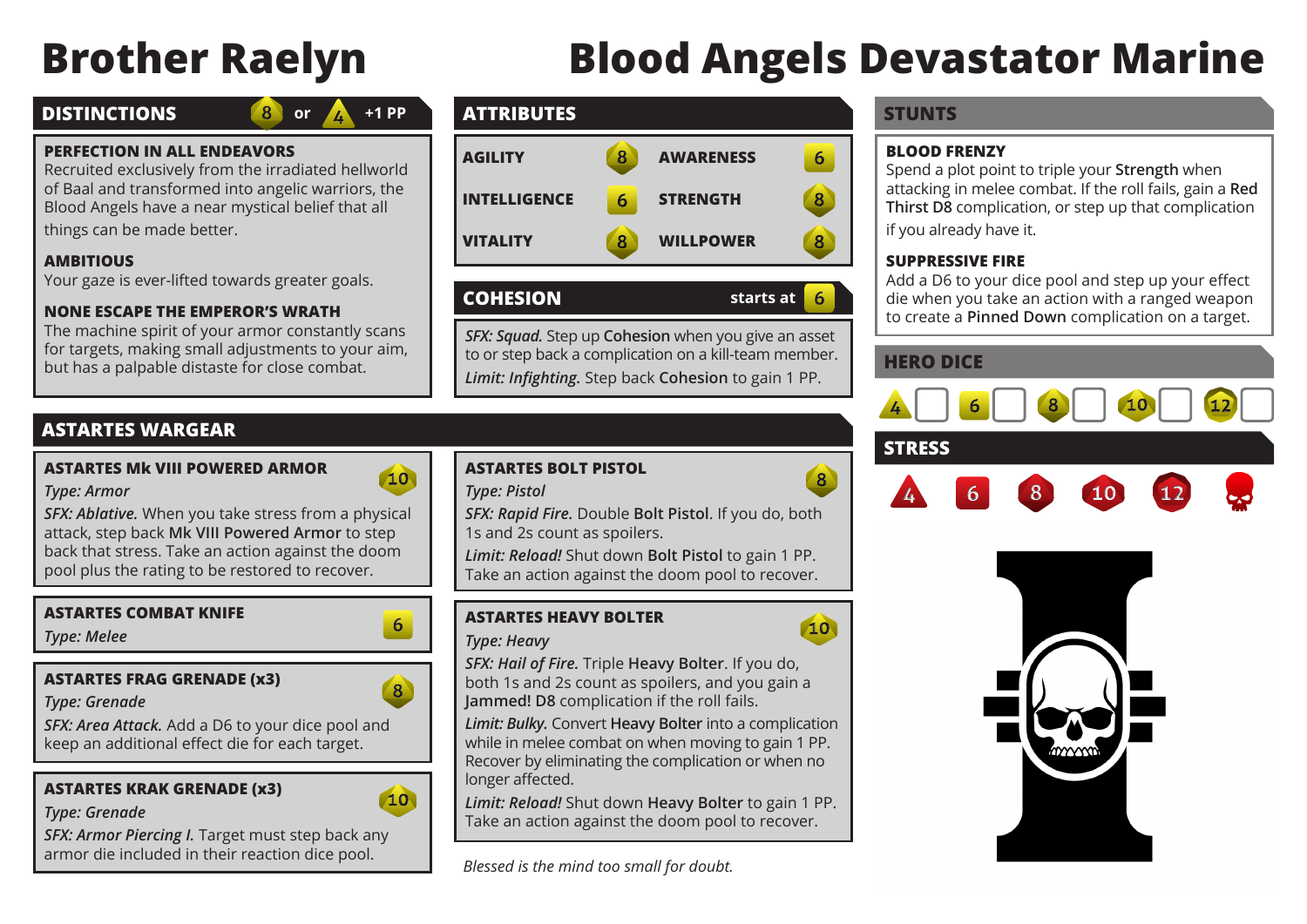# **Brother Raelyn Blood Angels Devastator Marine**

# **DISTINCTIONS**

```
or \mathbb{A} +1 PP
```
#### **PERFECTION IN ALL ENDEAVORS**

Recruited exclusively from the irradiated hellworld of Baal and transformed into angelic warriors, the Blood Angels have a near mystical belief that all things can be made better.

#### **AMBITIOUS**

Your gaze is ever-lifted towards greater goals.

#### **NONE ESCAPE THE EMPEROR'S WRATH**

The machine spirit of your armor constantly scans for targets, making small adjustments to your aim, but has a palpable distaste for close combat.

# **ATTRIBUTES STUNTS**



# **COHESION starts at**

*SFX: Squad.* Step up **Cohesion** when you give an asset to or step back a complication on a kill-team member. *Limit: Infighting.* Step back **Cohesion** to gain 1 PP.

# **ASTARTES WARGEAR**

#### **ASTARTES Mk VIII POWERED ARMOR**



6

 $\sqrt{8}$ 

*SFX: Ablative.* When you take stress from a physical attack, step back **Mk VIII Powered Armor** to step back that stress. Take an action against the doom pool plus the rating to be restored to recover.

#### **ASTARTES COMBAT KNIFE**

*Type: Melee*

*Type: Armor*

## **ASTARTES FRAG GRENADE (x3)**

*Type: Grenade*

*SFX: Area Attack.* Add a D6 to your dice pool and keep an additional effect die for each target.

# **ASTARTES KRAK GRENADE (x3)**



#### *Type: Grenade*

*SFX: Armor Piercing I.* Target must step back any armor die included in their reaction dice pool.

## **ASTARTES BOLT PISTOL**

#### *Type: Pistol*

*SFX: Rapid Fire.* Double **Bolt Pistol**. If you do, both 1s and 2s count as spoilers.

*Limit: Reload!* Shut down **Bolt Pistol** to gain 1 PP. Take an action against the doom pool to recover.

# **ASTARTES HEAVY BOLTER**

#### *Type: Heavy*

*SFX: Hail of Fire.* Triple **Heavy Bolter**. If you do, both 1s and 2s count as spoilers, and you gain a **Jammed! D8** complication if the roll fails.

*Limit: Bulky.* Convert **Heavy Bolter** into a complication while in melee combat on when moving to gain 1 PP. Recover by eliminating the complication or when no longer affected.

*Limit: Reload!* Shut down **Heavy Bolter** to gain 1 PP. Take an action against the doom pool to recover.

*Blessed is the mind too small for doubt.*

#### **BLOOD FRENZY**

Spend a plot point to triple your **Strength** when attacking in melee combat. If the roll fails, gain a **Red Thirst D8** complication, or step up that complication if you already have it.

#### **SUPPRESSIVE FIRE**

Add a D6 to your dice pool and step up your effect die when you take an action with a ranged weapon to create a **Pinned Down** complication on a target.

# **HERO DICE**

6

 $\mathbf{8}$ 



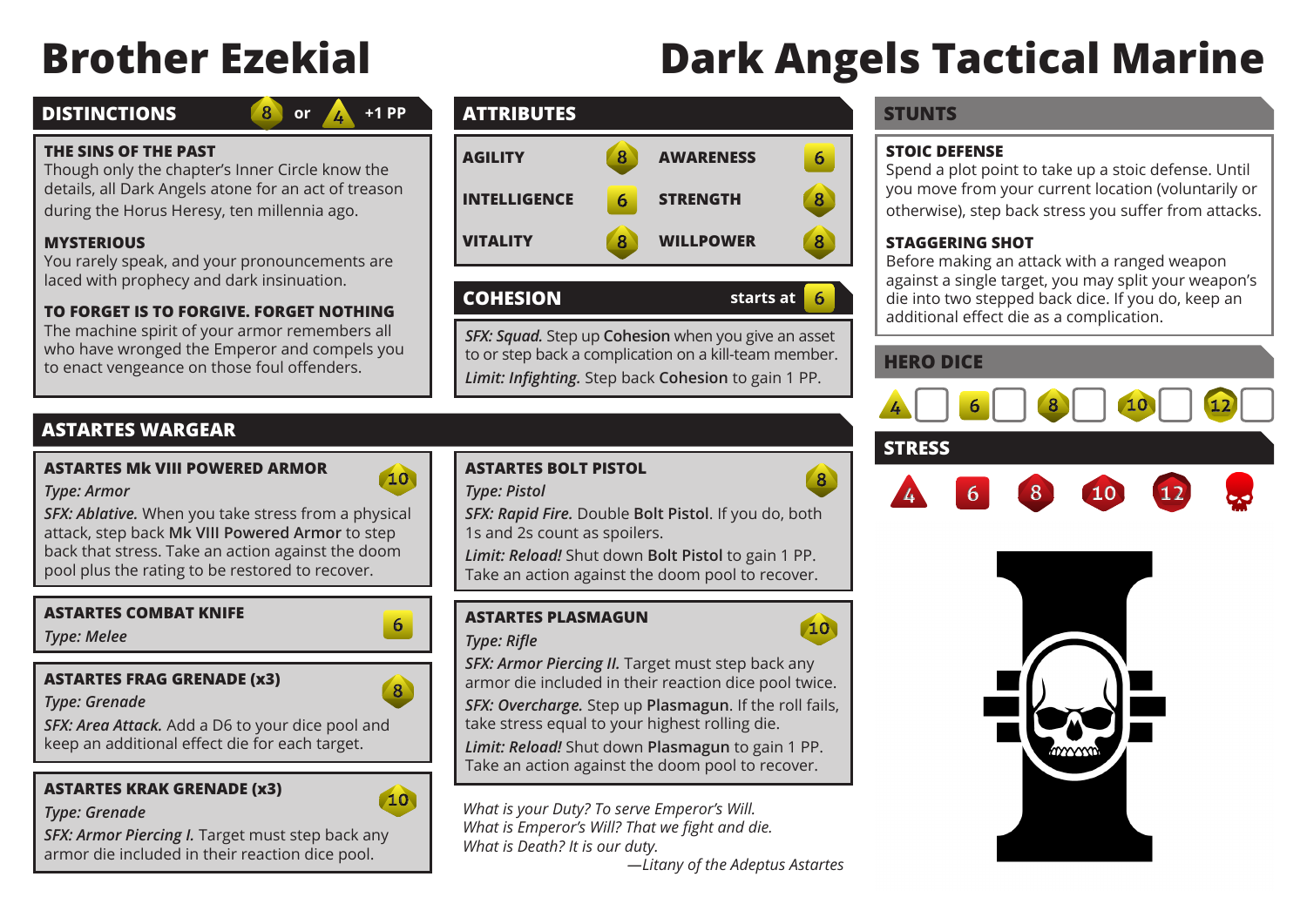# **Brother Ezekial Dark Angels Tactical Marine**

# **DISTINCTIONS**

# **or +1 PP**

#### **THE SINS OF THE PAST**

Though only the chapter's Inner Circle know the details, all Dark Angels atone for an act of treason during the Horus Heresy, ten millennia ago.

 $\mathbf{8}$ 

# **MYSTERIOUS**

You rarely speak, and your pronouncements are laced with prophecy and dark insinuation.

# **TO FORGET IS TO FORGIVE. FORGET NOTHING**

The machine spirit of your armor remembers all who have wronged the Emperor and compels you to enact vengeance on those foul offenders.

# **ATTRIBUTES STUNTS**



# **COHESION starts at**

*SFX: Squad.* Step up **Cohesion** when you give an asset to or step back a complication on a kill-team member. *Limit: Infighting.* Step back **Cohesion** to gain 1 PP.

# **ASTARTES WARGEAR**

## **ASTARTES Mk VIII POWERED ARMOR**



*SFX: Ablative.* When you take stress from a physical attack, step back **Mk VIII Powered Armor** to step back that stress. Take an action against the doom pool plus the rating to be restored to recover.

#### **ASTARTES COMBAT KNIFE**

*Type: Melee*

*Type: Armor*

# **ASTARTES FRAG GRENADE (x3)**

*Type: Grenade*

*SFX: Area Attack.* Add a D6 to your dice pool and keep an additional effect die for each target.

# **ASTARTES KRAK GRENADE (x3)**



#### *Type: Grenade*

*SFX: Armor Piercing I.* Target must step back any armor die included in their reaction dice pool.

# **ASTARTES BOLT PISTOL**

#### *Type: Pistol*

*SFX: Rapid Fire.* Double **Bolt Pistol**. If you do, both 1s and 2s count as spoilers.

*Limit: Reload!* Shut down **Bolt Pistol** to gain 1 PP. Take an action against the doom pool to recover.

# **ASTARTES PLASMAGUN**

## *Type: Rifle*

*SFX: Armor Piercing II.* Target must step back any armor die included in their reaction dice pool twice.

*SFX: Overcharge.* Step up **Plasmagun**. If the roll fails, take stress equal to your highest rolling die.

*Limit: Reload!* Shut down **Plasmagun** to gain 1 PP. Take an action against the doom pool to recover.

*What is your Duty? To serve Emperor's Will. What is Emperor's Will? That we fight and die. What is Death? It is our duty.*

*—Litany of the Adeptus Astartes*

## **STOIC DEFENSE**

Spend a plot point to take up a stoic defense. Until you move from your current location (voluntarily or otherwise), step back stress you suffer from attacks.

## **STAGGERING SHOT**

Before making an attack with a ranged weapon against a single target, you may split your weapon's die into two stepped back dice. If you do, keep an additional effect die as a complication.

# **HERO DICE**

6

 $\mathbf{8}$ 

10





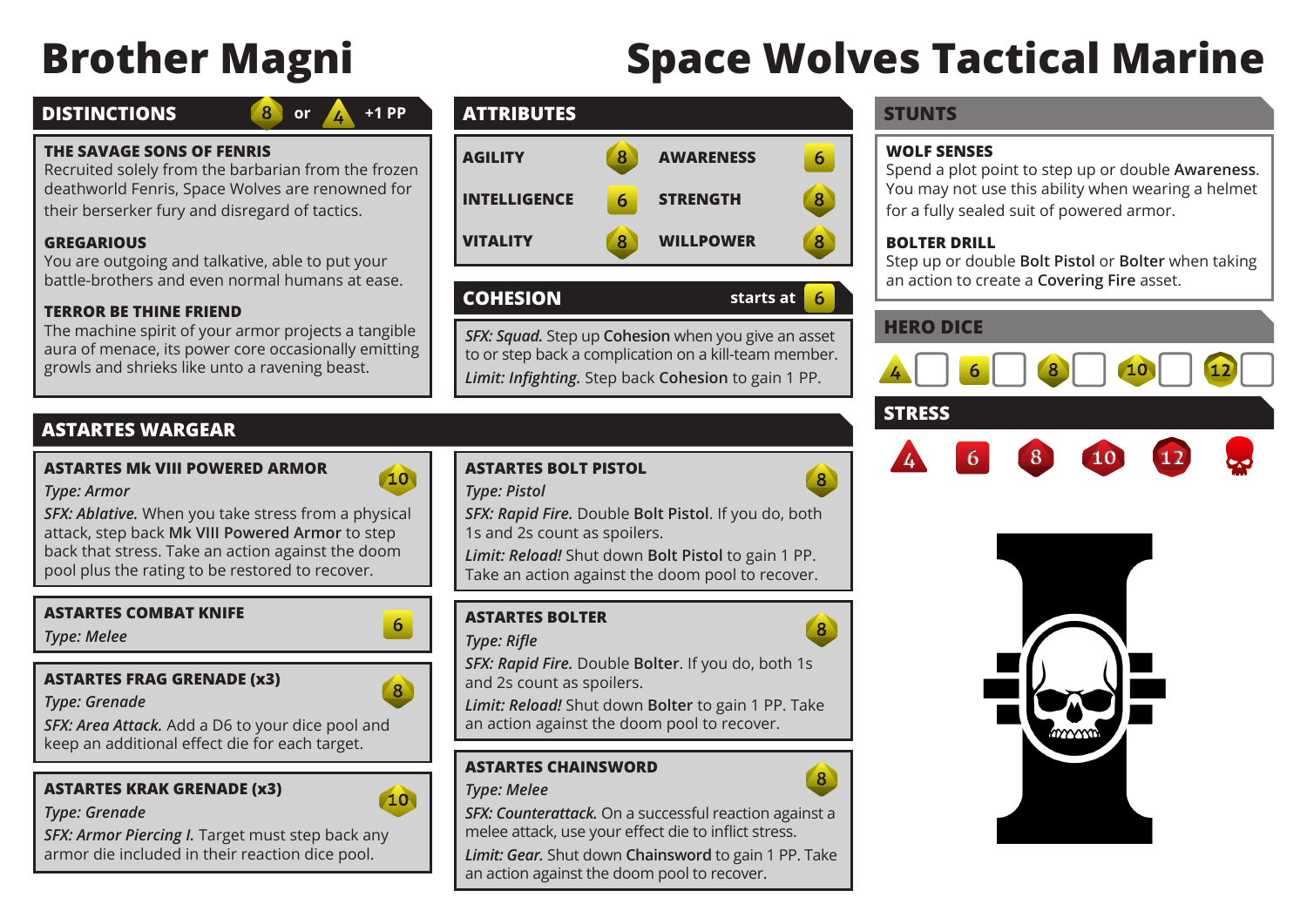# **Brother Magni Space Wolves Tactical Marine**

## **DISTINCTIONS**

# or  $\mathbb{A}$  +1 PP

#### **THE SAVAGE SONS OF FENRIS**

Recruited solely from the barbarian from the frozen deathworld Fenris, Space Wolves are renowned for their berserker fury and disregard of tactics.

#### **GREGARIOUS**

You are outgoing and talkative, able to put your battle-brothers and even normal humans at ease.

#### **TERROR BE THINE FRIEND**

The machine spirit of your armor projects a tangible aura of menace, its power core occasionally emitting growls and shrieks like unto a ravening beast.

# **ATTRIBUTES STUNTS**



# **COHESION starts at**

*SFX: Squad.* Step up **Cohesion** when you give an asset to or step back a complication on a kill-team member. *Limit: Infighting.* Step back **Cohesion** to gain 1 PP.

# **ASTARTES WARGEAR**

#### **ASTARTES Mk VIII POWERED ARMOR**



*SFX: Ablative.* When you take stress from a physical attack, step back **Mk VIII Powered Armor** to step back that stress. Take an action against the doom pool plus the rating to be restored to recover.

#### **ASTARTES COMBAT KNIFE**

*Type: Melee*

*Type: Armor*

## **ASTARTES FRAG GRENADE (x3)**

*Type: Grenade*

*SFX: Area Attack.* Add a D6 to your dice pool and keep an additional effect die for each target.

# **ASTARTES KRAK GRENADE (x3)**



## *Type: Grenade*

*SFX: Armor Piercing I.* Target must step back any armor die included in their reaction dice pool.

## **ASTARTES BOLT PISTOL**

#### *Type: Pistol*

*SFX: Rapid Fire.* Double **Bolt Pistol**. If you do, both 1s and 2s count as spoilers.

*Limit: Reload!* Shut down **Bolt Pistol** to gain 1 PP. Take an action against the doom pool to recover.

# **ASTARTES BOLTER**

#### *Type: Rifle*



 $\sqrt{8}$ 

 $\sqrt{8}$ 

6

*SFX: Rapid Fire.* Double **Bolter**. If you do, both 1s and 2s count as spoilers.

*Limit: Reload!* Shut down **Bolter** to gain 1 PP. Take an action against the doom pool to recover.

# **ASTARTES CHAINSWORD**

#### *Type: Melee*

*SFX: Counterattack.* On a successful reaction against a melee attack, use your effect die to inflict stress.

*Limit: Gear.* Shut down **Chainsword** to gain 1 PP. Take an action against the doom pool to recover.

#### **WOLF SENSES**

Spend a plot point to step up or double **Awareness**. You may not use this ability when wearing a helmet for a fully sealed suit of powered armor.

#### **BOLTER DRILL**

Step up or double **Bolt Pistol** or **Bolter** when taking an action to create a **Covering Fire** asset.

# **HERO DICE**



# **STRESS**







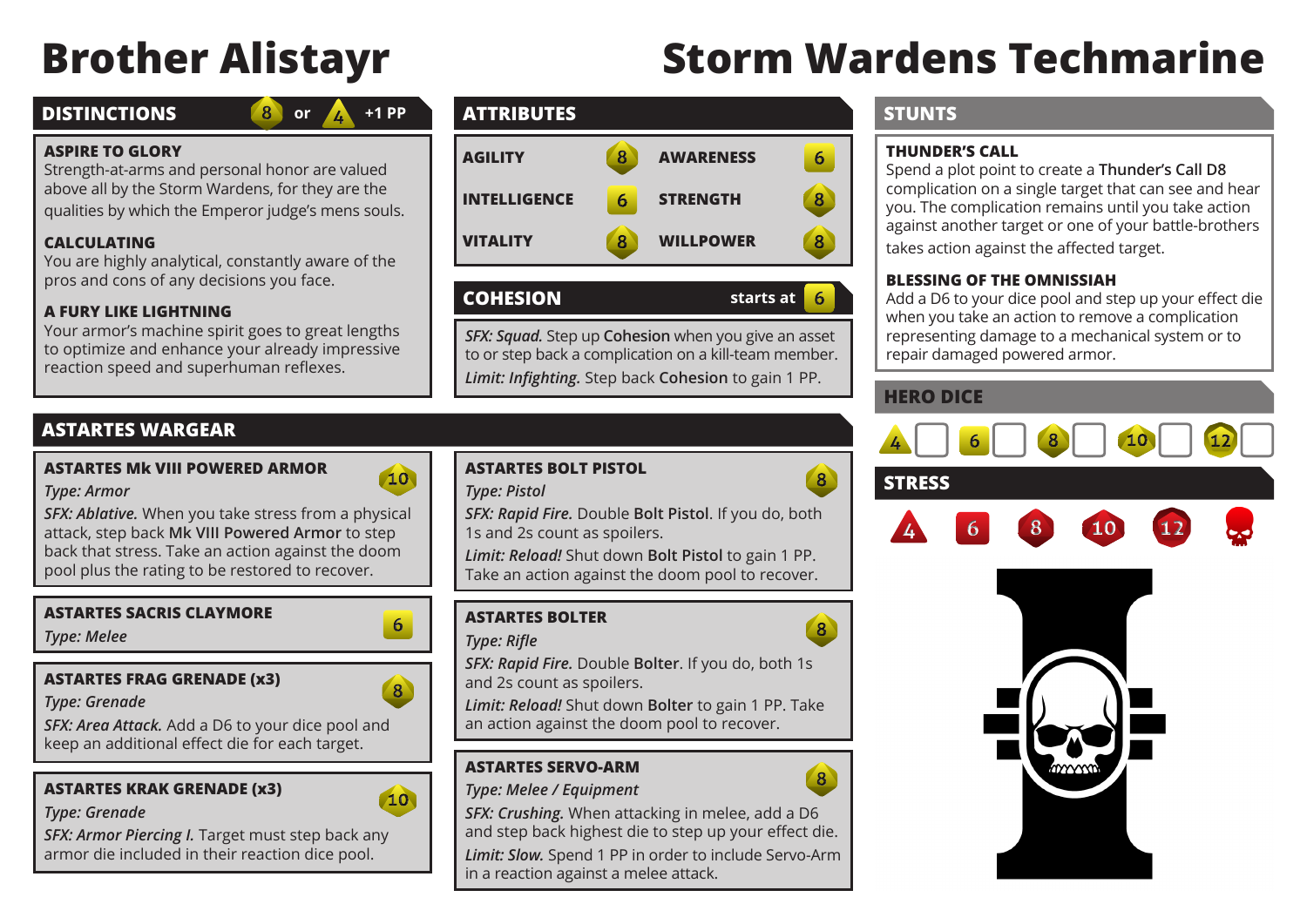# **Brother Alistayr Storm Wardens Techmarine**

# **DISTINCTIONS**

# **or +1 PP**

#### **ASPIRE TO GLORY**

Strength-at-arms and personal honor are valued above all by the Storm Wardens, for they are the qualities by which the Emperor judge's mens souls.

8

## **CALCULATING**

You are highly analytical, constantly aware of the pros and cons of any decisions you face.

#### **A FURY LIKE LIGHTNING**

Your armor's machine spirit goes to great lengths to optimize and enhance your already impressive reaction speed and superhuman reflexes.

# **ATTRIBUTES STUNTS**



# **COHESION starts at**

*SFX: Squad.* Step up **Cohesion** when you give an asset to or step back a complication on a kill-team member. *Limit: Infighting.* Step back **Cohesion** to gain 1 PP.

# **ASTARTES WARGEAR**

#### **ASTARTES Mk VIII POWERED ARMOR**



*SFX: Ablative.* When you take stress from a physical attack, step back **Mk VIII Powered Armor** to step back that stress. Take an action against the doom pool plus the rating to be restored to recover.

#### **ASTARTES SACRIS CLAYMORE**

*Type: Melee*

*Type: Armor*

# **ASTARTES FRAG GRENADE (x3)**

*Type: Grenade*

*SFX: Area Attack.* Add a D6 to your dice pool and keep an additional effect die for each target.

# **ASTARTES KRAK GRENADE (x3)**



#### *Type: Grenade*

*SFX: Armor Piercing I.* Target must step back any armor die included in their reaction dice pool.

## **ASTARTES BOLT PISTOL**

#### *Type: Pistol*

*SFX: Rapid Fire.* Double **Bolt Pistol**. If you do, both 1s and 2s count as spoilers.

*Limit: Reload!* Shut down **Bolt Pistol** to gain 1 PP. Take an action against the doom pool to recover.

# **ASTARTES BOLTER**

#### *Type: Rifle*

*SFX: Rapid Fire.* Double **Bolter**. If you do, both 1s and 2s count as spoilers.

*Limit: Reload!* Shut down **Bolter** to gain 1 PP. Take an action against the doom pool to recover.

# **ASTARTES SERVO-ARM**

#### *Type: Melee / Equipment*

*SFX: Crushing.* When attacking in melee, add a D6 and step back highest die to step up your effect die.

*Limit: Slow.* Spend 1 PP in order to include Servo-Arm in a reaction against a melee attack.

# **THUNDER'S CALL**

Spend a plot point to create a **Thunder's Call D8** complication on a single target that can see and hear you. The complication remains until you take action against another target or one of your battle-brothers takes action against the affected target.

#### **BLESSING OF THE OMNISSIAH**

Add a D6 to your dice pool and step up your effect die when you take an action to remove a complication representing damage to a mechanical system or to repair damaged powered armor.

# **HERO DICE**

 $\mathbf{8}$ 

 $\mathbf{8}$ 

 $\sqrt{8}$